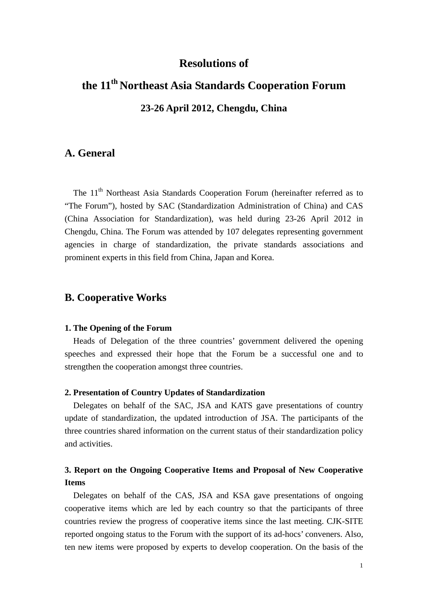## **Resolutions of**

# **the 11th Northeast Asia Standards Cooperation Forum 23-26 April 2012, Chengdu, China**

## **A. General**

The 11<sup>th</sup> Northeast Asia Standards Cooperation Forum (hereinafter referred as to "The Forum"), hosted by SAC (Standardization Administration of China) and CAS (China Association for Standardization), was held during 23-26 April 2012 in Chengdu, China. The Forum was attended by 107 delegates representing government agencies in charge of standardization, the private standards associations and prominent experts in this field from China, Japan and Korea.

### **B. Cooperative Works**

#### **1. The Opening of the Forum**

Heads of Delegation of the three countries' government delivered the opening speeches and expressed their hope that the Forum be a successful one and to strengthen the cooperation amongst three countries.

#### **2. Presentation of Country Updates of Standardization**

Delegates on behalf of the SAC, JSA and KATS gave presentations of country update of standardization, the updated introduction of JSA. The participants of the three countries shared information on the current status of their standardization policy and activities.

## **3. Report on the Ongoing Cooperative Items and Proposal of New Cooperative Items**

Delegates on behalf of the CAS, JSA and KSA gave presentations of ongoing cooperative items which are led by each country so that the participants of three countries review the progress of cooperative items since the last meeting. CJK-SITE reported ongoing status to the Forum with the support of its ad-hocs' conveners. Also, ten new items were proposed by experts to develop cooperation. On the basis of the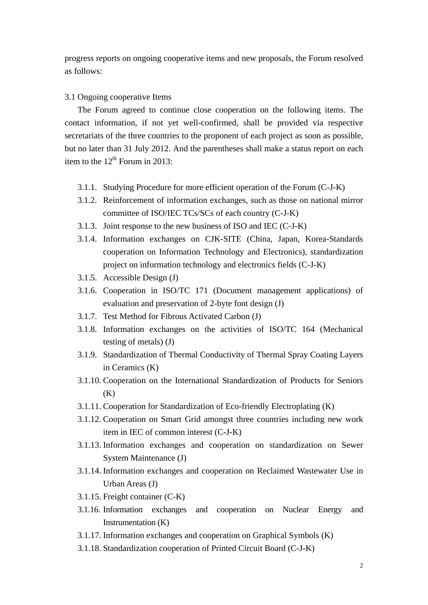progress reports on ongoing cooperative items and new proposals, the Forum resolved as follows:

#### 3.1 Ongoing cooperative Items

The Forum agreed to continue close cooperation on the following items. The contact information, if not yet well-confirmed, shall be provided via respective secretariats of the three countries to the proponent of each project as soon as possible, but no later than 31 July 2012. And the parentheses shall make a status report on each item to the  $12<sup>th</sup>$  Forum in 2013:

- 3.1.1. Studying Procedure for more efficient operation of the Forum (C-J-K)
- 3.1.2. Reinforcement of information exchanges, such as those on national mirror committee of ISO/IEC TCs/SCs of each country (C-J-K)
- 3.1.3. Joint response to the new business of ISO and IEC (C-J-K)
- 3.1.4. Information exchanges on CJK-SITE (China, Japan, Korea-Standards cooperation on Information Technology and Electronics), standardization project on information technology and electronics fields (C-J-K)
- 3.1.5. Accessible Design (J)
- 3.1.6. Cooperation in ISO/TC 171 (Document management applications) of evaluation and preservation of 2-byte font design (J)
- 3.1.7. Test Method for Fibrous Activated Carbon (J)
- 3.1.8. Information exchanges on the activities of ISO/TC 164 (Mechanical testing of metals) (J)
- 3.1.9. Standardization of Thermal Conductivity of Thermal Spray Coating Layers in Ceramics (K)
- 3.1.10. Cooperation on the International Standardization of Products for Seniors  $(K)$
- 3.1.11. Cooperation for Standardization of Eco-friendly Electroplating (K)
- 3.1.12. Cooperation on Smart Grid amongst three countries including new work item in IEC of common interest (C-J-K)
- 3.1.13. Information exchanges and cooperation on standardization on Sewer System Maintenance (J)
- 3.1.14. Information exchanges and cooperation on Reclaimed Wastewater Use in Urban Areas (J)
- 3.1.15. Freight container (C-K)
- 3.1.16. Information exchanges and cooperation on Nuclear Energy and Instrumentation (K)
- 3.1.17. Information exchanges and cooperation on Graphical Symbols (K)
- 3.1.18. Standardization cooperation of Printed Circuit Board (C-J-K)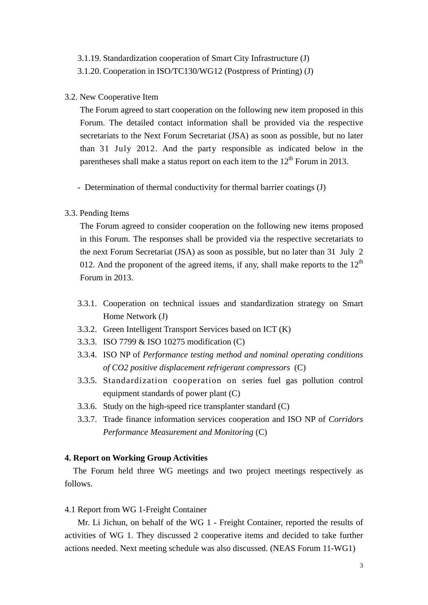#### 3.1.19. Standardization cooperation of Smart City Infrastructure (J)

3.1.20. Cooperation in ISO/TC130/WG12 (Postpress of Printing) (J)

#### 3.2. New Cooperative Item

The Forum agreed to start cooperation on the following new item proposed in this Forum. The detailed contact information shall be provided via the respective secretariats to the Next Forum Secretariat (JSA) as soon as possible, but no later than 31 July 2012. And the party responsible as indicated below in the parentheses shall make a status report on each item to the  $12<sup>th</sup>$  Forum in 2013.

- Determination of thermal conductivity for thermal barrier coatings (J)

#### 3.3. Pending Items

The Forum agreed to consider cooperation on the following new items proposed in this Forum. The responses shall be provided via the respective secretariats to the next Forum Secretariat (JSA) as soon as possible, but no later than 31 July 2 012. And the proponent of the agreed items, if any, shall make reports to the  $12<sup>th</sup>$ Forum in 2013.

- 3.3.1. Cooperation on technical issues and standardization strategy on Smart Home Network (J)
- 3.3.2. Green Intelligent Transport Services based on ICT (K)
- 3.3.3. ISO 7799 & ISO 10275 modification (C)
- 3.3.4. ISO NP of *Performance testing method and nominal operating conditions of CO2 positive displacement refrigerant compressors* (C)
- 3.3.5. Standardization cooperation on series fuel gas pollution control equipment standards of power plant (C)
- 3.3.6. Study on the high-speed rice transplanter standard (C)
- 3.3.7. Trade finance information services cooperation and ISO NP of *Corridors Performance Measurement and Monitoring* (C)

#### **4. Report on Working Group Activities**

The Forum held three WG meetings and two project meetings respectively as follows.

#### 4.1 Report from WG 1-Freight Container

 Mr. Li Jichun, on behalf of the WG 1 - Freight Container, reported the results of activities of WG 1. They discussed 2 cooperative items and decided to take further actions needed. Next meeting schedule was also discussed. (NEAS Forum 11-WG1)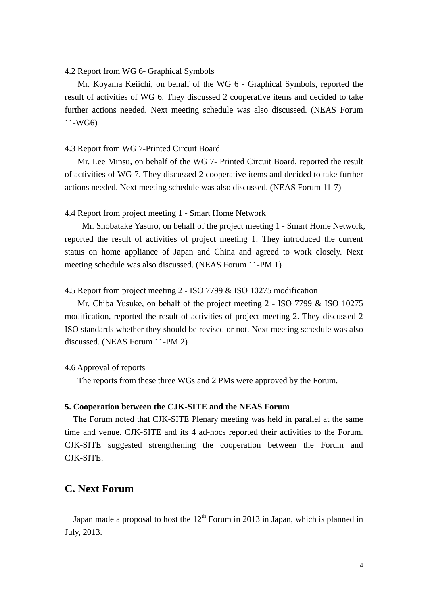#### 4.2 Report from WG 6- Graphical Symbols

Mr. Koyama Keiichi, on behalf of the WG 6 - Graphical Symbols, reported the result of activities of WG 6. They discussed 2 cooperative items and decided to take further actions needed. Next meeting schedule was also discussed. (NEAS Forum 11-WG6)

#### 4.3 Report from WG 7-Printed Circuit Board

Mr. Lee Minsu, on behalf of the WG 7- Printed Circuit Board, reported the result of activities of WG 7. They discussed 2 cooperative items and decided to take further actions needed. Next meeting schedule was also discussed. (NEAS Forum 11-7)

#### 4.4 Report from project meeting 1 - Smart Home Network

Mr. Shobatake Yasuro, on behalf of the project meeting 1 - Smart Home Network, reported the result of activities of project meeting 1. They introduced the current status on home appliance of Japan and China and agreed to work closely. Next meeting schedule was also discussed. (NEAS Forum 11-PM 1)

4.5 Report from project meeting 2 - ISO 7799 & ISO 10275 modification

Mr. Chiba Yusuke, on behalf of the project meeting 2 - ISO 7799 & ISO 10275 modification, reported the result of activities of project meeting 2. They discussed 2 ISO standards whether they should be revised or not. Next meeting schedule was also discussed. (NEAS Forum 11-PM 2)

#### 4.6 Approval of reports

The reports from these three WGs and 2 PMs were approved by the Forum.

#### **5. Cooperation between the CJK-SITE and the NEAS Forum**

The Forum noted that CJK-SITE Plenary meeting was held in parallel at the same time and venue. CJK-SITE and its 4 ad-hocs reported their activities to the Forum. CJK-SITE suggested strengthening the cooperation between the Forum and CJK-SITE.

# **C. Next Forum**

Japan made a proposal to host the  $12<sup>th</sup>$  Forum in 2013 in Japan, which is planned in July, 2013.